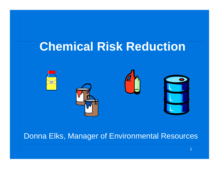# **Chemical Risk Reduction**



#### Donna Elks, Manager of Environmental Resources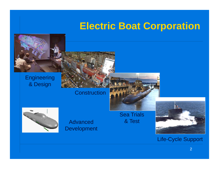## **Electric Boat Corporation**



**Construction** 





**Advanced Development**  **Sea Trials** & Test



#### **Life-Cycle Support**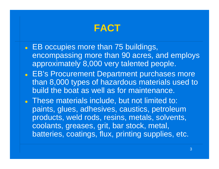

- EB occupies more than 75 buildings, encompassing more than 90 acres, and employs approximately 8,000 very talented people.
- **EB's Procurement Department purchases more ending to By**than 8,000 types of hazardous materials used to build the boat as well as for maintenance.
- These materials include, but not limited to: paints, glues, adhesives, caustics, petroleum products, weld rods, resins, metals, solvents, coolants, greases, grit, bar stock, metal, batteries, coatings, flux, printing supplies, etc.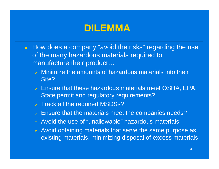#### **DILEMMA**

- $\bullet$  How does a company "avoid the risks" regarding the use of the many hazardous materials required to manufacture their product…
	- $\overline{z}$  Minimize the amounts of hazardous materials into their Site?
	- **Ensure that these hazardous materials meet OSHA, EPA,** State permit and regulatory requirements?
	- $\overline{\boldsymbol{\lambda}}$ Track all the required MSDSs?
	- $\overline{\boldsymbol{\lambda}}$ Ensure that the materials meet the companies needs?
	- <sub>a</sub> Avoid the use of "unallowable" hazardous materials
	- $\bar{\tau}$  Avoid obtaining materials that serve the same purpose as existing materials, minimizing disposal of excess materials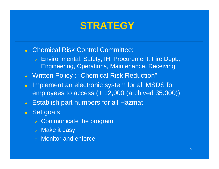#### **STRATEGY**

- Chemical Risk Control Committee:
	- Environmental, Safety, IH, Procurement, Fire Dept.,  $\overline{z}$ **Engineering, Operations, Maintenance, Receiving**
- Written Policy: "Chemical Risk Reduction"
- Implement an electronic system for all MSDS for  $\bullet$ employees to access (+ 12,000 (archived 35,000))
- Establish part numbers for all Hazmat
- Set goals
	- **EXA:** Communicate the program
	- **»** Make it easy
	- **A** Monitor and enforce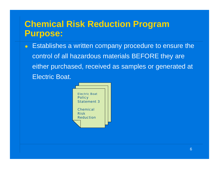#### **Chemical Risk Reduction Program Purpose:**

• Establishes a written company procedure to ensure the control of all hazardous materials BEFORE they are either purchased, received as samples or generated at Electric Boat.

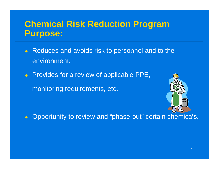#### **Chemical Risk Reduction Program Purpose:**

- Reduces and avoids risk to personnel and to the environment.
- $\bullet$  Provides for a review of applicable PPE,

monitoring requirements, etc.



• Opportunity to review and "phase-out" certain chemicals.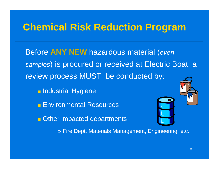#### **Chemical Risk Reduction Pro gram**

Before **ANY NEW** hazardous material ( *even samples*) is procured or received at Electric Boat, a review process MUST be conducted by:

**F** Industrial Hygiene

**Environmental Resources** 

**Other impacted departments** 

» Fire Dept, Materials Management, Engineering, etc.

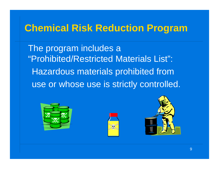### **Chemical Risk Reduction Program**

The program includes a "Prohibited/Restricted Materials List": Hazardous materials prohibited from use or whose use is strictly controlled.





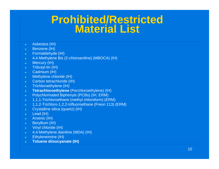### **Prohibited/Restricted Material List**

- $\bullet$ Asbestos (IH)
- $\bullet$ Benzene (IH)
- $\bullet$ • Formaldehyde (IH)
- $\bullet$ 4,4-Methylene Bis (2-chloroaniline) (MBOCA) (IH)
- $\bullet$ Mercury (IH)
- $\bullet$  Tributyl-tin (IH)
- $\bullet$ Cadmium (IH)
- $\bullet$ Methylene chloride (IH)
- $\bullet$ Carbon tetrachloride (IH)
- $\bullet$ Trichloroethylene (IH)
- $\bullet$ **Tetrachloroethylene** (Perchloroethylene) (IH)
- $\bullet$ Polychlorinated Biphenyls (PCBs) (IH, ERM)
- $\bullet$ 1,1,1-Trichloroethane (methyl chloroform) (ERM)
- $\bullet$ 1,1,2-Trichloro-1,2,2-trifluoroethane (Freon 113) (ERM)
- $\bullet$ Crystalline silica (quartz) (IH)
- $\bullet$ Lead (IH)
- $\bullet$   $\rightarrow$ Arsenic (IH)
- **z** Beryllium (IH)
- $\bullet$  Vinyl chloride (IH)
- $\bullet$ 4,4-Methylene dianiline (MDA) (IH)
- Ethyleneimine (IH)
- $\bullet$ **Toluene diisocyanate (IH)**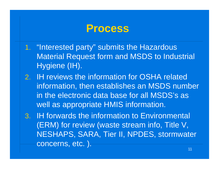#### **Process**

- 1. "Interested party" submits the Hazardous Material Request form and MSDS to Industrial Hygiene (IH).
- 2. IH reviews the information for OSHA related information, then establishes an MSDS number in the electronic data base for all MSDS's as well as appropriate HMIS information.
- 3. IH forwards the information to Environmental Environmental (ERM) for review (waste stream info, Title V, NESHAPS, SARA, Tier II, NPDES, stormwater concerns, etc. ).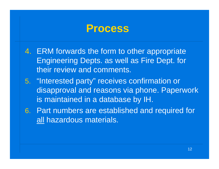#### **Process**

- 4. ERM forwards the form to other appropriate Engineering Depts. as well as Fire Dept. for their review and comments.
- 5. "Interested party" receives confirmation or disapproval and reasons via phone. Paperwork is maintained in a database by IH.
- 6. Part numbers are established and required for all hazardous materials.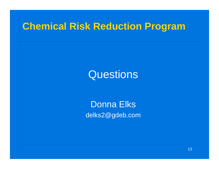#### **Chemical Risk Reduction Pro gram**

# **Questions**

Donna Elks delks2@gdeb.com